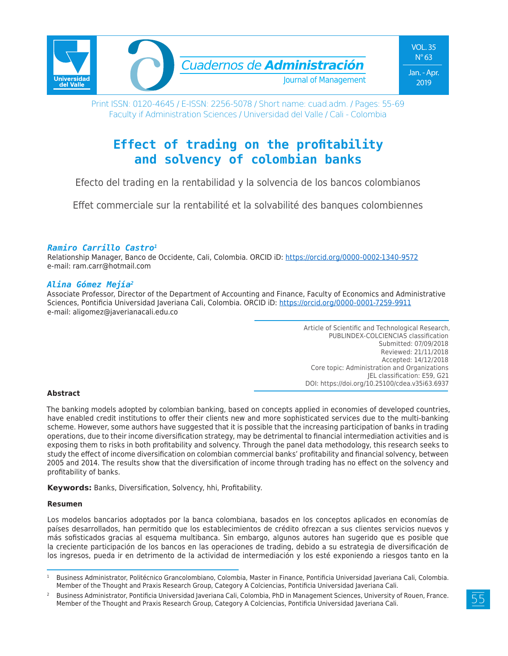

# **Effect of trading on the profitability and solvency of colombian banks**

Efecto del trading en la rentabilidad y la solvencia de los bancos colombianos

Effet commerciale sur la rentabilité et la solvabilité des banques colombiennes

### *Ramiro Carrillo Castro1*

Relationship Manager, Banco de Occidente, Cali, Colombia. ORCID iD: https://orcid.org/0000-0002-1340-9572 e-mail: ram.carr@hotmail.com

#### *Alina Gómez Mejía2*

Associate Professor, Director of the Department of Accounting and Finance, Faculty of Economics and Administrative Sciences, Pontificia Universidad Javeriana Cali, Colombia. ORCID iD: https://orcid.org/0000-0001-7259-9911 e-mail: aligomez@javerianacali.edu.co

> Article of Scientific and Technological Research, PUBLINDEX-COLCIENCIAS classification Submitted: 07/09/2018 Reviewed: 21/11/2018 Accepted: 14/12/2018 Core topic: Administration and Organizations JEL classification: E59, G21 DOI: https://doi.org/10.25100/cdea.v35i63.6937

#### **Abstract**

The banking models adopted by colombian banking, based on concepts applied in economies of developed countries, have enabled credit institutions to offer their clients new and more sophisticated services due to the multi-banking scheme. However, some authors have suggested that it is possible that the increasing participation of banks in trading operations, due to their income diversification strategy, may be detrimental to financial intermediation activities and is exposing them to risks in both profitability and solvency. Through the panel data methodology, this research seeks to study the effect of income diversification on colombian commercial banks' profitability and financial solvency, between 2005 and 2014. The results show that the diversification of income through trading has no effect on the solvency and profitability of banks.

**Keywords:** Banks, Diversification, Solvency, hhi, Profitability.

#### **Resumen**

Los modelos bancarios adoptados por la banca colombiana, basados en los conceptos aplicados en economías de países desarrollados, han permitido que los establecimientos de crédito ofrezcan a sus clientes servicios nuevos y más sofisticados gracias al esquema multibanca. Sin embargo, algunos autores han sugerido que es posible que la creciente participación de los bancos en las operaciones de trading, debido a su estrategia de diversificación de los ingresos, pueda ir en detrimento de la actividad de intermediación y los esté exponiendo a riesgos tanto en la

<sup>1</sup> Business Administrator, Politécnico Grancolombiano, Colombia, Master in Finance, Pontificia Universidad Javeriana Cali, Colombia. Member of the Thought and Praxis Research Group, Category A Colciencias, Pontificia Universidad Javeriana Cali.

<sup>2</sup> Business Administrator, Pontificia Universidad Javeriana Cali, Colombia, PhD in Management Sciences, University of Rouen, France. Member of the Thought and Praxis Research Group, Category A Colciencias, Pontificia Universidad Javeriana Cali.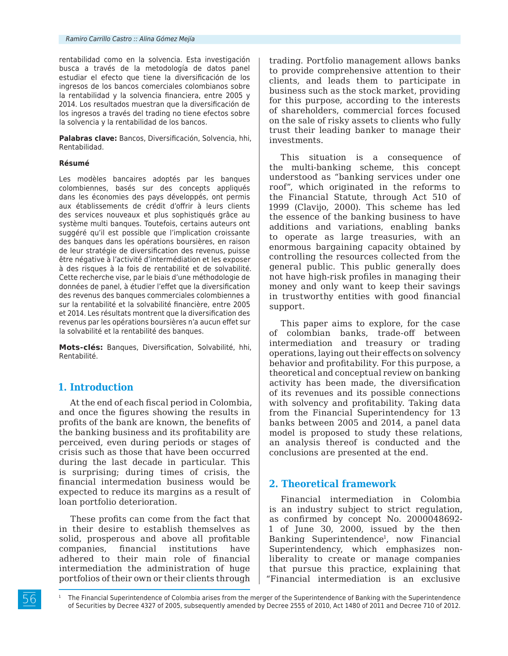rentabilidad como en la solvencia. Esta investigación busca a través de la metodología de datos panel estudiar el efecto que tiene la diversificación de los ingresos de los bancos comerciales colombianos sobre la rentabilidad y la solvencia financiera, entre 2005 y 2014. Los resultados muestran que la diversificación de los ingresos a través del trading no tiene efectos sobre la solvencia y la rentabilidad de los bancos.

**Palabras clave:** Bancos, Diversificación, Solvencia, hhi, Rentabilidad.

#### **Résumé**

Les modèles bancaires adoptés par les banques colombiennes, basés sur des concepts appliqués dans les économies des pays développés, ont permis aux établissements de crédit d'offrir à leurs clients des services nouveaux et plus sophistiqués grâce au système multi banques. Toutefois, certains auteurs ont suggéré qu'il est possible que l'implication croissante des banques dans les opérations boursières, en raison de leur stratégie de diversification des revenus, puisse être négative à l'activité d'intermédiation et les exposer à des risques à la fois de rentabilité et de solvabilité. Cette recherche vise, par le biais d'une méthodologie de données de panel, à étudier l'effet que la diversification des revenus des banques commerciales colombiennes a sur la rentabilité et la solvabilité financière, entre 2005 et 2014. Les résultats montrent que la diversification des revenus par les opérations boursières n'a aucun effet sur la solvabilité et la rentabilité des banques.

**Mots-clés:** Banques, Diversification, Solvabilité, hhi, Rentabilité.

### **1. Introduction**

At the end of each fiscal period in Colombia, and once the figures showing the results in profits of the bank are known, the benefits of the banking business and its profitability are perceived, even during periods or stages of crisis such as those that have been occurred during the last decade in particular. This is surprising; during times of crisis, the financial intermedation business would be expected to reduce its margins as a result of loan portfolio deterioration.

These profits can come from the fact that in their desire to establish themselves as solid, prosperous and above all profitable companies, financial institutions have adhered to their main role of financial intermediation the administration of huge portfolios of their own or their clients through trading. Portfolio management allows banks to provide comprehensive attention to their clients, and leads them to participate in business such as the stock market, providing for this purpose, according to the interests of shareholders, commercial forces focused on the sale of risky assets to clients who fully trust their leading banker to manage their investments.

This situation is a consequence of the multi-banking scheme, this concept understood as "banking services under one roof", which originated in the reforms to the Financial Statute, through Act 510 of 1999 (Clavijo, 2000). This scheme has led the essence of the banking business to have additions and variations, enabling banks to operate as large treasuries, with an enormous bargaining capacity obtained by controlling the resources collected from the general public. This public generally does not have high-risk profiles in managing their money and only want to keep their savings in trustworthy entities with good financial support.

This paper aims to explore, for the case of colombian banks, trade-off between intermediation and treasury or trading operations, laying out their effects on solvency behavior and profitability. For this purpose, a theoretical and conceptual review on banking activity has been made, the diversification of its revenues and its possible connections with solvency and profitability. Taking data from the Financial Superintendency for 13 banks between 2005 and 2014, a panel data model is proposed to study these relations, an analysis thereof is conducted and the conclusions are presented at the end.

# **2. Theoretical framework**

Financial intermediation in Colombia is an industry subject to strict regulation, as confirmed by concept No. 2000048692- 1 of June 30, 2000, issued by the then Banking Superintendence1, now Financial Superintendency, which emphasizes nonliberality to create or manage companies that pursue this practice, explaining that "Financial intermediation is an exclusive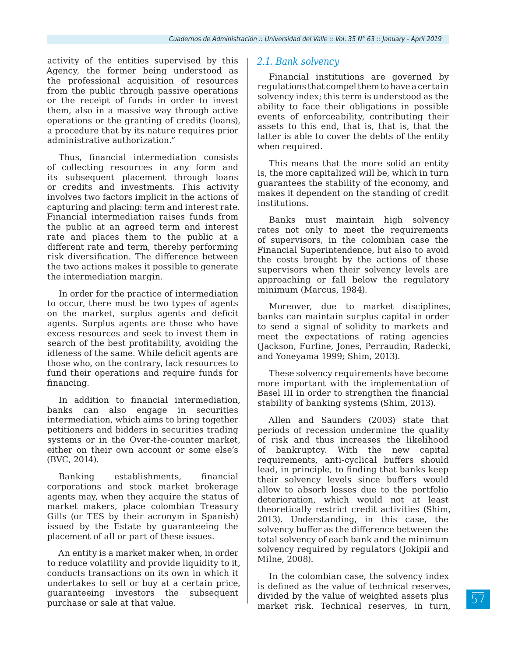activity of the entities supervised by this Agency, the former being understood as the professional acquisition of resources from the public through passive operations or the receipt of funds in order to invest them, also in a massive way through active operations or the granting of credits (loans), a procedure that by its nature requires prior administrative authorization."

Thus, financial intermediation consists of collecting resources in any form and its subsequent placement through loans or credits and investments. This activity involves two factors implicit in the actions of capturing and placing: term and interest rate. Financial intermediation raises funds from the public at an agreed term and interest rate and places them to the public at a different rate and term, thereby performing risk diversification. The difference between the two actions makes it possible to generate the intermediation margin.

In order for the practice of intermediation to occur, there must be two types of agents on the market, surplus agents and deficit agents. Surplus agents are those who have excess resources and seek to invest them in search of the best profitability, avoiding the idleness of the same. While deficit agents are those who, on the contrary, lack resources to fund their operations and require funds for financing.

In addition to financial intermediation, banks can also engage in securities intermediation, which aims to bring together petitioners and bidders in securities trading systems or in the Over-the-counter market, either on their own account or some else's (BVC, 2014).

Banking establishments, financial corporations and stock market brokerage agents may, when they acquire the status of market makers, place colombian Treasury Gills (or TES by their acronym in Spanish) issued by the Estate by guaranteeing the placement of all or part of these issues.

An entity is a market maker when, in order to reduce volatility and provide liquidity to it, conducts transactions on its own in which it undertakes to sell or buy at a certain price, guaranteeing investors the subsequent purchase or sale at that value.

## *2.1. Bank solvency*

Financial institutions are governed by regulations that compel them to have a certain solvency index; this term is understood as the ability to face their obligations in possible events of enforceability, contributing their assets to this end, that is, that is, that the latter is able to cover the debts of the entity when required.

This means that the more solid an entity is, the more capitalized will be, which in turn guarantees the stability of the economy, and makes it dependent on the standing of credit institutions.

Banks must maintain high solvency rates not only to meet the requirements of supervisors, in the colombian case the Financial Superintendence, but also to avoid the costs brought by the actions of these supervisors when their solvency levels are approaching or fall below the regulatory minimum (Marcus, 1984).

Moreover, due to market disciplines, banks can maintain surplus capital in order to send a signal of solidity to markets and meet the expectations of rating agencies (Jackson, Furfine, Jones, Perraudin, Radecki, and Yoneyama 1999; Shim, 2013).

These solvency requirements have become more important with the implementation of Basel III in order to strengthen the financial stability of banking systems (Shim, 2013).

Allen and Saunders (2003) state that periods of recession undermine the quality of risk and thus increases the likelihood of bankruptcy. With the new capital requirements, anti-cyclical buffers should lead, in principle, to finding that banks keep their solvency levels since buffers would allow to absorb losses due to the portfolio deterioration, which would not at least theoretically restrict credit activities (Shim, 2013). Understanding, in this case, the solvency buffer as the difference between the total solvency of each bank and the minimum solvency required by regulators (Jokipii and Milne, 2008).

In the colombian case, the solvency index is defined as the value of technical reserves, divided by the value of weighted assets plus market risk. Technical reserves, in turn,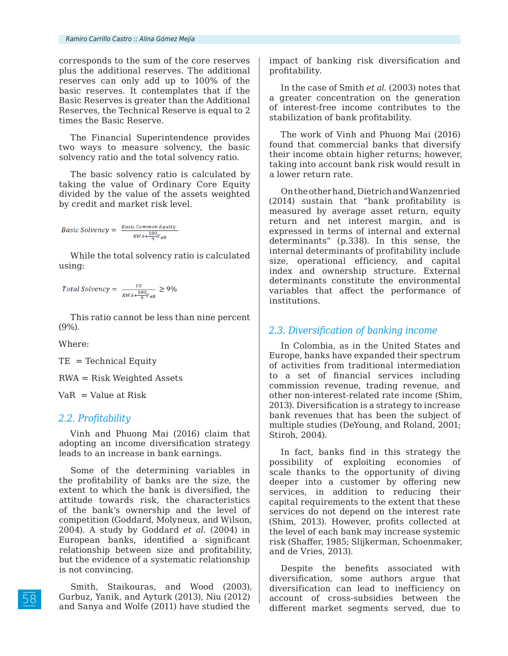corresponds to the sum of the core reserves plus the additional reserves. The additional reserves can only add up to 100% of the basic reserves. It contemplates that if the Basic Reserves is greater than the Additional Reserves, the Technical Reserve is equal to 2 times the Basic Reserve.

The Financial Superintendence provides two ways to measure solvency, the basic solvency ratio and the total solvency ratio.

The basic solvency ratio is calculated by taking the value of Ordinary Core Equity divided by the value of the assets weighted by credit and market risk level.

$$
Basic\ Solvency = \frac{Basic\ Common\ Equity}{RWA + \frac{100}{9}V_{aR}}
$$

While the total solvency ratio is calculated using:

$$
Total \, Solvency = \frac{TE}{RWA + \frac{100}{9}V_{aR}} \ge 9\%
$$

This ratio cannot be less than nine percent (9%).

Where:

 $TE = Technical Equity$ 

RWA = Risk Weighted Assets

 $VaR = Value$  at Risk

### *2.2. Profitability*

Vinh and Phuong Mai (2016) claim that adopting an income diversification strategy leads to an increase in bank earnings.

Some of the determining variables in the profitability of banks are the size, the extent to which the bank is diversified, the attitude towards risk, the characteristics of the bank's ownership and the level of competition (Goddard, Molyneux, and Wilson, 2004). A study by Goddard *et al.* (2004) in European banks, identified a significant relationship between size and profitability, but the evidence of a systematic relationship is not convincing.

Smith, Staikouras, and Wood (2003), Gurbuz, Yanik, and Ayturk (2013), Niu (2012) and Sanya and Wolfe (2011) have studied the

impact of banking risk diversification and profitability.

In the case of Smith *et al.* (2003) notes that a greater concentration on the generation of interest-free income contributes to the stabilization of bank profitability.

The work of Vinh and Phuong Mai (2016) found that commercial banks that diversify their income obtain higher returns; however, taking into account bank risk would result in a lower return rate.

On the other hand, Dietrich and Wanzenried (2014) sustain that "bank profitability is measured by average asset return, equity return and net interest margin, and is expressed in terms of internal and external determinants" (p.338). In this sense, the internal determinants of profitability include size, operational efficiency, and capital index and ownership structure. External determinants constitute the environmental variables that affect the performance of institutions.

### *2.3. Diversification of banking income*

In Colombia, as in the United States and Europe, banks have expanded their spectrum of activities from traditional intermediation to a set of financial services including commission revenue, trading revenue, and other non-interest-related rate income (Shim, 2013). Diversification is a strategy to increase bank revenues that has been the subject of multiple studies (DeYoung, and Roland, 2001; Stiroh, 2004).

In fact, banks find in this strategy the possibility of exploiting economies of scale thanks to the opportunity of diving deeper into a customer by offering new services, in addition to reducing their capital requirements to the extent that these services do not depend on the interest rate (Shim, 2013). However, profits collected at the level of each bank may increase systemic risk (Shaffer, 1985; Slijkerman, Schoenmaker, and de Vries, 2013).

Despite the benefits associated with diversification, some authors argue that diversification can lead to inefficiency on account of cross-subsidies between the different market segments served, due to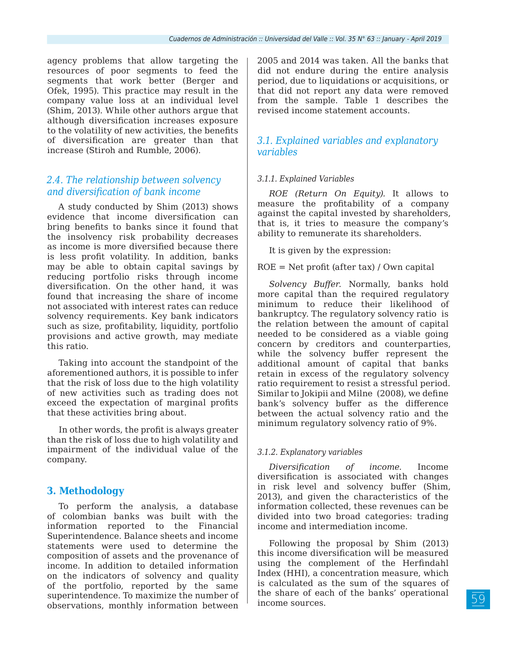agency problems that allow targeting the resources of poor segments to feed the segments that work better (Berger and Ofek, 1995). This practice may result in the company value loss at an individual level (Shim, 2013). While other authors argue that although diversification increases exposure to the volatility of new activities, the benefits of diversification are greater than that increase (Stiroh and Rumble, 2006).

# *2.4. The relationship between solvency and diversification of bank income*

A study conducted by Shim (2013) shows evidence that income diversification can bring benefits to banks since it found that the insolvency risk probability decreases as income is more diversified because there is less profit volatility. In addition, banks may be able to obtain capital savings by reducing portfolio risks through income diversification. On the other hand, it was found that increasing the share of income not associated with interest rates can reduce solvency requirements. Key bank indicators such as size, profitability, liquidity, portfolio provisions and active growth, may mediate this ratio.

Taking into account the standpoint of the aforementioned authors, it is possible to infer that the risk of loss due to the high volatility of new activities such as trading does not exceed the expectation of marginal profits that these activities bring about.

In other words, the profit is always greater than the risk of loss due to high volatility and impairment of the individual value of the company.

# **3. Methodology**

To perform the analysis, a database of colombian banks was built with the information reported to the Financial Superintendence. Balance sheets and income statements were used to determine the composition of assets and the provenance of income. In addition to detailed information on the indicators of solvency and quality of the portfolio, reported by the same superintendence. To maximize the number of observations, monthly information between

2005 and 2014 was taken. All the banks that did not endure during the entire analysis period, due to liquidations or acquisitions, or that did not report any data were removed from the sample. Table 1 describes the revised income statement accounts.

# *3.1. Explained variables and explanatory variables*

### *3.1.1. Explained Variables*

*ROE (Return On Equity).* It allows to measure the profitability of a company against the capital invested by shareholders, that is, it tries to measure the company's ability to remunerate its shareholders.

It is given by the expression:

ROE = Net profit (after tax) / Own capital

*Solvency Buffer.* Normally, banks hold more capital than the required regulatory minimum to reduce their likelihood of bankruptcy. The regulatory solvency ratio is the relation between the amount of capital needed to be considered as a viable going concern by creditors and counterparties, while the solvency buffer represent the additional amount of capital that banks retain in excess of the regulatory solvency ratio requirement to resist a stressful period. Similar to Jokipii and Milne (2008), we define bank's solvency buffer as the difference between the actual solvency ratio and the minimum regulatory solvency ratio of 9%.

# *3.1.2. Explanatory variables*

*Diversification of income.* Income diversification is associated with changes in risk level and solvency buffer (Shim, 2013), and given the characteristics of the information collected, these revenues can be divided into two broad categories: trading income and intermediation income.

Following the proposal by Shim (2013) this income diversification will be measured using the complement of the Herfindahl Index (HHI), a concentration measure, which is calculated as the sum of the squares of the share of each of the banks' operational income sources.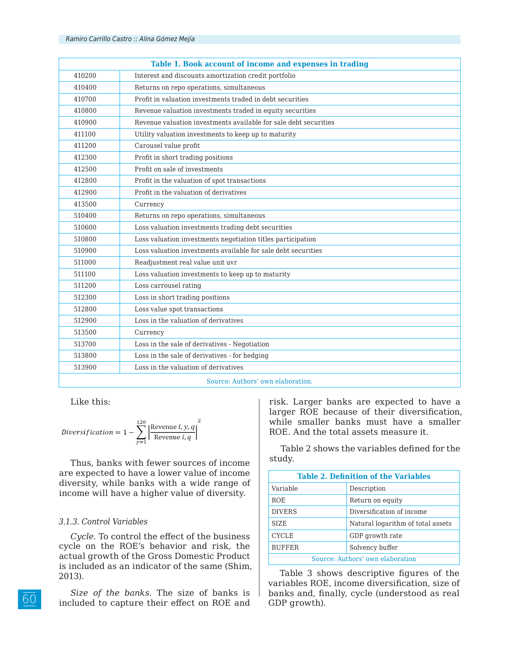|        | Table 1. Book account of income and expenses in trading          |
|--------|------------------------------------------------------------------|
| 410200 | Interest and discounts amortization credit portfolio             |
| 410400 | Returns on repo operations, simultaneous                         |
| 410700 | Profit in valuation investments traded in debt securities        |
| 410800 | Revenue valuation investments traded in equity securities        |
| 410900 | Revenue valuation investments available for sale debt securities |
| 411100 | Utility valuation investments to keep up to maturity             |
| 411200 | Carousel value profit                                            |
| 412300 | Profit in short trading positions                                |
| 412500 | Profit on sale of investments                                    |
| 412800 | Profit in the valuation of spot transactions                     |
| 412900 | Profit in the valuation of derivatives                           |
| 413500 | Currency                                                         |
| 510400 | Returns on repo operations, simultaneous                         |
| 510600 | Loss valuation investments trading debt securities               |
| 510800 | Loss valuation investments negotiation titles participation      |
| 510900 | Loss valuation investments available for sale debt securities    |
| 511000 | Readjustment real value unit uvr                                 |
| 511100 | Loss valuation investments to keep up to maturity                |
| 511200 | Loss carrousel rating                                            |
| 512300 | Loss in short trading positions                                  |
| 512800 | Loss value spot transactions                                     |
| 512900 | Loss in the valuation of derivatives                             |
| 513500 | Currency                                                         |
| 513700 | Loss in the sale of derivatives - Negotiation                    |
| 513800 | Loss in the sale of derivatives - for hedging                    |
| 513900 | Loss in the valuation of derivatives                             |
|        | Source: Authors' own elaboration.                                |

Like this:

$$
Diversityitation = 1 - \sum_{v=1}^{120} \left[ \frac{\text{Revenue } i, y, q}{\text{Revenue } i, q} \right]^2
$$

Thus, banks with fewer sources of income are expected to have a lower value of income diversity, while banks with a wide range of income will have a higher value of diversity.

#### *3.1.3. Control Variables*

*Cycle.* To control the effect of the business cycle on the ROE's behavior and risk, the actual growth of the Gross Domestic Product is included as an indicator of the same (Shim, 2013).

*Size of the banks.* The size of banks is included to capture their effect on ROE and risk. Larger banks are expected to have a larger ROE because of their diversification, while smaller banks must have a smaller ROE. And the total assets measure it.

Table 2 shows the variables defined for the study.

| <b>Table 2. Definition of the Variables</b> |                                   |  |  |  |  |
|---------------------------------------------|-----------------------------------|--|--|--|--|
| Variable                                    | Description                       |  |  |  |  |
| <b>ROE</b>                                  | Return on equity                  |  |  |  |  |
| <b>DIVERS</b>                               | Diversification of income         |  |  |  |  |
| SIZE.                                       | Natural logarithm of total assets |  |  |  |  |
| <b>CYCLE</b>                                | GDP growth rate                   |  |  |  |  |
| <b>BUFFER</b>                               | Solvency buffer                   |  |  |  |  |
| Source: Authors' own elaboration            |                                   |  |  |  |  |

Table 3 shows descriptive figures of the variables ROE, income diversification, size of banks and, finally, cycle (understood as real GDP growth).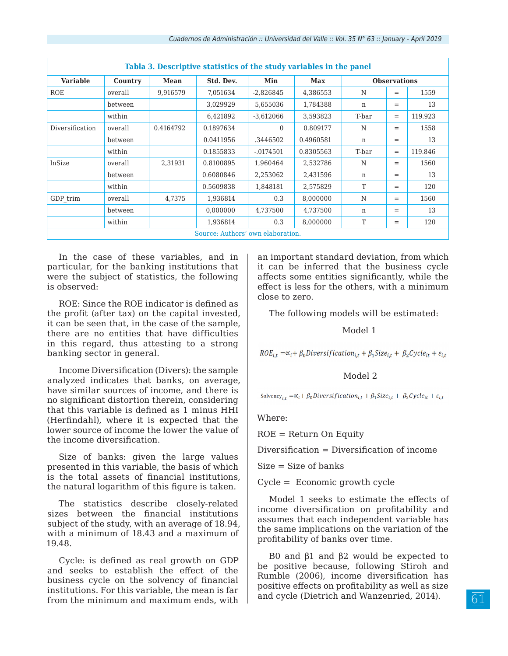| Tabla 3. Descriptive statistics of the study variables in the panel |         |           |                                   |              |            |       |                     |         |  |
|---------------------------------------------------------------------|---------|-----------|-----------------------------------|--------------|------------|-------|---------------------|---------|--|
| <b>Variable</b>                                                     | Country | Mean      | Std. Dev.                         | Min          | <b>Max</b> |       | <b>Observations</b> |         |  |
| <b>ROE</b>                                                          | overall | 9,916579  | 7,051634                          | $-2,826845$  | 4,386553   | N     | $=$                 | 1559    |  |
|                                                                     | between |           | 3,029929                          | 5.655036     | 1,784388   | n     | $=$                 | 13      |  |
|                                                                     | within  |           | 6,421892                          | $-3,612066$  | 3,593823   | T-bar | $=$                 | 119.923 |  |
| Diversification                                                     | overall | 0.4164792 | 0.1897634                         | $\Omega$     | 0.809177   | N     | $=$                 | 1558    |  |
|                                                                     | between |           | 0.0411956                         | .3446502     | 0.4960581  | n     | $=$                 | 13      |  |
|                                                                     | within  |           | 0.1855833                         | $-0.0174501$ | 0.8305563  | T-bar | $=$                 | 119.846 |  |
| lnSize                                                              | overall | 2,31931   | 0.8100895                         | 1,960464     | 2,532786   | N     | $=$                 | 1560    |  |
|                                                                     | between |           | 0.6080846                         | 2,253062     | 2,431596   | n     | $=$                 | 13      |  |
|                                                                     | within  |           | 0.5609838                         | 1,848181     | 2,575829   | T     | $=$                 | 120     |  |
| GDP trim                                                            | overall | 4,7375    | 1,936814                          | 0.3          | 8.000000   | N     | $=$                 | 1560    |  |
|                                                                     | between |           | 0,000000                          | 4,737500     | 4,737500   | n     | $=$                 | 13      |  |
|                                                                     | within  |           | 1,936814                          | 0.3          | 8,000000   | T     | $=$                 | 120     |  |
|                                                                     |         |           | Source: Authors' own elaboration. |              |            |       |                     |         |  |

In the case of these variables, and in particular, for the banking institutions that were the subject of statistics, the following is observed:

ROE: Since the ROE indicator is defined as the profit (after tax) on the capital invested, it can be seen that, in the case of the sample, there are no entities that have difficulties in this regard, thus attesting to a strong banking sector in general.

Income Diversification (Divers): the sample analyzed indicates that banks, on average, have similar sources of income, and there is no significant distortion therein, considering that this variable is defined as 1 minus HHI (Herfindahl), where it is expected that the lower source of income the lower the value of the income diversification.

Size of banks: given the large values presented in this variable, the basis of which is the total assets of financial institutions, the natural logarithm of this figure is taken.

The statistics describe closely-related sizes between the financial institutions subject of the study, with an average of 18.94, with a minimum of 18.43 and a maximum of 19.48.

Cycle: is defined as real growth on GDP and seeks to establish the effect of the business cycle on the solvency of financial institutions. For this variable, the mean is far from the minimum and maximum ends, with

an important standard deviation, from which it can be inferred that the business cycle affects some entities significantly, while the effect is less for the others, with a minimum close to zero.

The following models will be estimated:

#### Model 1

 $ROE_{i,t} = \alpha_i + \beta_0 \text{Diversification}_{i,t} + \beta_1 \text{Size}_{i,t} + \beta_2 \text{Cycle}_{it} + \varepsilon_{i,t}$ 

#### Model 2

Solvency<sub>i,t</sub> = $\alpha_i + \beta_0$ Diversification<sub>i,t</sub> +  $\beta_1$ Size<sub>i,t</sub> +  $\beta_2$ Cycle<sub>it</sub> +  $\varepsilon_{i,t}$ 

Where:

ROE = Return On Equity

Diversification = Diversification of income

 $Size = Size of banks$ 

Cycle = Economic growth cycle

Model 1 seeks to estimate the effects of income diversification on profitability and assumes that each independent variable has the same implications on the variation of the profitability of banks over time.

Β0 and β1 and β2 would be expected to be positive because, following Stiroh and Rumble (2006), income diversification has positive effects on profitability as well as size and cycle (Dietrich and Wanzenried, 2014).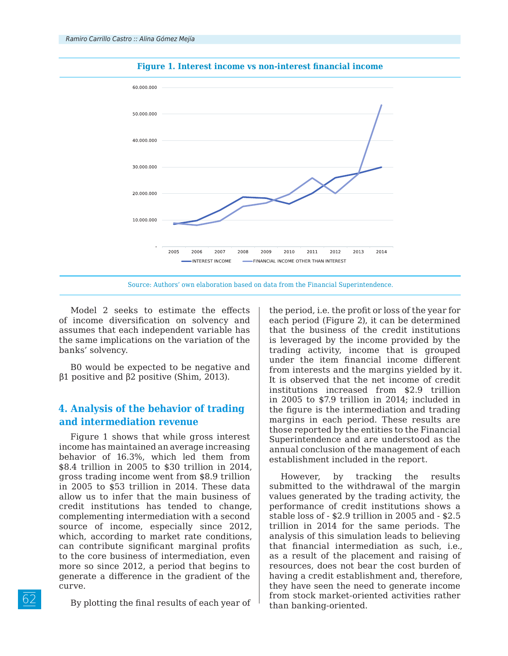



Source: Authors' own elaboration based on data from the Financial Superintendence.

Model 2 seeks to estimate the effects of income diversification on solvency and assumes that each independent variable has the same implications on the variation of the banks' solvency.

Β0 would be expected to be negative and β1 positive and β2 positive (Shim, 2013).

# **4. Analysis of the behavior of trading and intermediation revenue**

Figure 1 shows that while gross interest income has maintained an average increasing behavior of 16.3%, which led them from \$8.4 trillion in 2005 to \$30 trillion in 2014, gross trading income went from \$8.9 trillion in 2005 to \$53 trillion in 2014. These data allow us to infer that the main business of credit institutions has tended to change, complementing intermediation with a second source of income, especially since 2012, which, according to market rate conditions, can contribute significant marginal profits to the core business of intermediation, even more so since 2012, a period that begins to generate a difference in the gradient of the curve.

By plotting the final results of each year of

the period, i.e. the profit or loss of the year for each period (Figure 2), it can be determined that the business of the credit institutions is leveraged by the income provided by the trading activity, income that is grouped under the item financial income different from interests and the margins yielded by it. It is observed that the net income of credit institutions increased from \$2.9 trillion in 2005 to \$7.9 trillion in 2014; included in the figure is the intermediation and trading margins in each period. These results are those reported by the entities to the Financial Superintendence and are understood as the annual conclusion of the management of each establishment included in the report.

However, by tracking the results submitted to the withdrawal of the margin values generated by the trading activity, the performance of credit institutions shows a stable loss of - \$2.9 trillion in 2005 and - \$2.5 trillion in 2014 for the same periods. The analysis of this simulation leads to believing that financial intermediation as such, i.e., as a result of the placement and raising of resources, does not bear the cost burden of having a credit establishment and, therefore, they have seen the need to generate income from stock market-oriented activities rather than banking-oriented.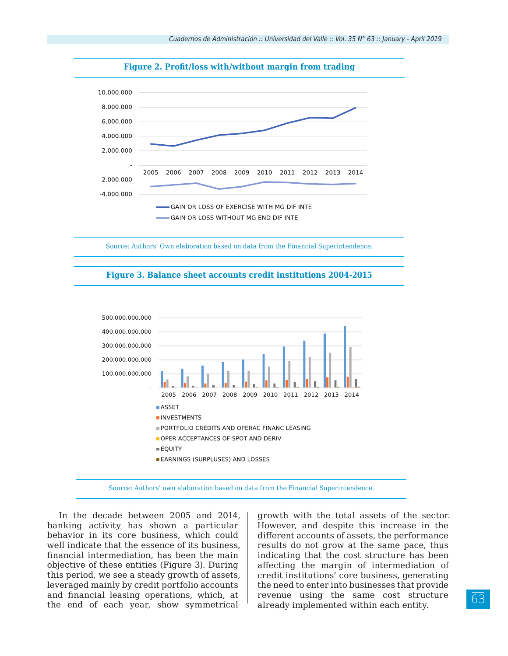

**Figure 2. Profit/loss with/without margin from trading**

Source: Authors' Own elaboration based on data from the Financial Superintendence.





Source: Authors' own elaboration based on data from the Financial Superintendence.

In the decade between 2005 and 2014, banking activity has shown a particular behavior in its core business, which could well indicate that the essence of its business, financial intermediation, has been the main objective of these entities (Figure 3). During this period, we see a steady growth of assets, leveraged mainly by credit portfolio accounts and financial leasing operations, which, at the end of each year, show symmetrical

growth with the total assets of the sector. However, and despite this increase in the different accounts of assets, the performance results do not grow at the same pace, thus indicating that the cost structure has been affecting the margin of intermediation of credit institutions' core business, generating the need to enter into businesses that provide revenue using the same cost structure already implemented within each entity.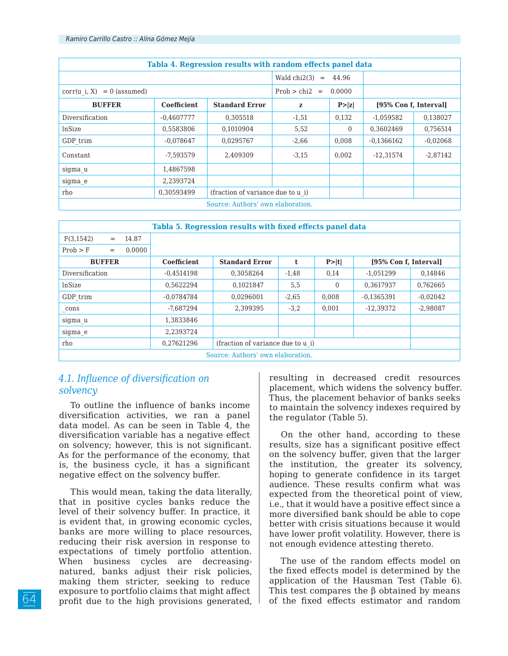| Tabla 4. Regression results with random effects panel data |                                             |                                   |                     |          |                       |            |  |
|------------------------------------------------------------|---------------------------------------------|-----------------------------------|---------------------|----------|-----------------------|------------|--|
|                                                            |                                             |                                   | Wald chi2(3)<br>$=$ | 44.96    |                       |            |  |
| $corr(u i, X) = 0$ (assumed)                               |                                             |                                   | $Prob > chi2 =$     | 0.0000   |                       |            |  |
| <b>BUFFER</b>                                              | <b>Standard Error</b><br><b>Coefficient</b> |                                   | z                   | P >  z   | [95% Con f, Interval] |            |  |
| Diversification                                            | $-0.4607777$                                | 0.305518                          | $-1,51$             | 0,132    | $-1,059582$           | 0,138027   |  |
| lnSize                                                     | 0.5583806                                   | 0.1010904                         | 5,52                | $\Omega$ | 0.3602469             | 0.756514   |  |
| GDP trim                                                   | $-0.078647$                                 | 0.0295767                         | $-2,66$             | 0.008    | $-0.1366162$          | $-0.02068$ |  |
| Constant                                                   | -7.593579                                   | 2.409309                          | $-3,15$             | 0.002    | $-12.31574$           | $-2,87142$ |  |
| sigma_u                                                    | 1.4867598                                   |                                   |                     |          |                       |            |  |
| sigma e                                                    | 2.2393724                                   |                                   |                     |          |                       |            |  |
| rho                                                        | 0,30593499                                  | (fraction of variance due to u i) |                     |          |                       |            |  |
| Source: Authors' own elaboration.                          |                                             |                                   |                     |          |                       |            |  |

| Tabla 5. Regression results with fixed effects panel data |                    |                                   |         |                |                       |            |  |
|-----------------------------------------------------------|--------------------|-----------------------------------|---------|----------------|-----------------------|------------|--|
| F(3, 1542)<br>14.87<br>$=$                                |                    |                                   |         |                |                       |            |  |
| Prob > F<br>0.0000<br>$=$                                 |                    |                                   |         |                |                       |            |  |
| <b>BUFFER</b>                                             | <b>Coefficient</b> | <b>Standard Error</b>             | t       | P >  t         | [95% Con f, Interval] |            |  |
| Diversification                                           | $-0.4514198$       | 0.3058264                         | $-1,48$ | 0,14           | $-1.051299$           | 0,14846    |  |
| lnSize                                                    | 0,5622294          | 0.1021847                         | 5,5     | $\overline{0}$ | 0,3617937             | 0,762665   |  |
| GDP trim                                                  | $-0.0784784$       | 0.0296001                         | $-2,65$ | 0.008          | $-0.1365391$          | $-0.02042$ |  |
| cons                                                      | $-7.687294$        | 2,399395                          | $-3,2$  | 0,001          | $-12,39372$           | $-2,98087$ |  |
| sigma u                                                   | 1.3833846          |                                   |         |                |                       |            |  |
| sigma e                                                   | 2.2393724          |                                   |         |                |                       |            |  |
| rho                                                       | 0,27621296         | (fraction of variance due to u i) |         |                |                       |            |  |
| Source: Authors' own elaboration.                         |                    |                                   |         |                |                       |            |  |

# *4.1. Influence of diversification on solvency*

To outline the influence of banks income diversification activities, we ran a panel data model. As can be seen in Table 4, the diversification variable has a negative effect on solvency; however, this is not significant. As for the performance of the economy, that is, the business cycle, it has a significant negative effect on the solvency buffer.

This would mean, taking the data literally, that in positive cycles banks reduce the level of their solvency buffer. In practice, it is evident that, in growing economic cycles, banks are more willing to place resources, reducing their risk aversion in response to expectations of timely portfolio attention. When business cycles are decreasingnatured, banks adjust their risk policies, making them stricter, seeking to reduce exposure to portfolio claims that might affect profit due to the high provisions generated,

resulting in decreased credit resources placement, which widens the solvency buffer. Thus, the placement behavior of banks seeks to maintain the solvency indexes required by the regulator (Table 5).

On the other hand, according to these results, size has a significant positive effect on the solvency buffer, given that the larger the institution, the greater its solvency, hoping to generate confidence in its target audience. These results confirm what was expected from the theoretical point of view, i.e., that it would have a positive effect since a more diversified bank should be able to cope better with crisis situations because it would have lower profit volatility. However, there is not enough evidence attesting thereto.

The use of the random effects model on the fixed effects model is determined by the application of the Hausman Test (Table 6). This test compares the  $\beta$  obtained by means of the fixed effects estimator and random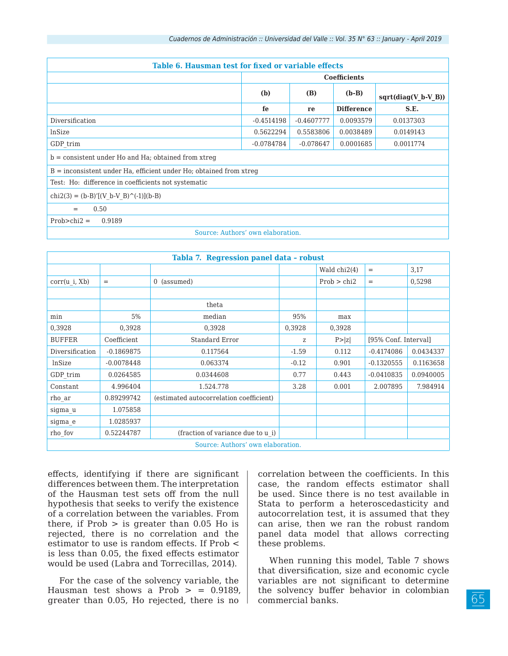| Table 6. Hausman test for fixed or variable effects                     |                     |              |                   |                       |  |  |  |  |
|-------------------------------------------------------------------------|---------------------|--------------|-------------------|-----------------------|--|--|--|--|
|                                                                         | <b>Coefficients</b> |              |                   |                       |  |  |  |  |
|                                                                         | (b)                 | (B)          | $(b-B)$           | $sqrt(diag(V_b-V_B))$ |  |  |  |  |
|                                                                         | fe                  | re           | <b>Difference</b> | S.E.                  |  |  |  |  |
| Diversification                                                         | $-0.4514198$        | $-0.4607777$ | 0.0093579         | 0.0137303             |  |  |  |  |
| lnSize                                                                  | 0.5622294           | 0.5583806    | 0.0038489         | 0.0149143             |  |  |  |  |
| GDP trim                                                                | $-0.0784784$        | $-0.078647$  | 0.0001685         | 0.0011774             |  |  |  |  |
| $b =$ consistent under Ho and Ha; obtained from xtreq                   |                     |              |                   |                       |  |  |  |  |
| $B =$ inconsistent under Ha, efficient under Ho; obtained from $x$ treq |                     |              |                   |                       |  |  |  |  |
| Test: Ho: difference in coefficients not systematic                     |                     |              |                   |                       |  |  |  |  |
| $chi2(3) = (b-B)'[(V b-V B)'(-1)](b-B)$                                 |                     |              |                   |                       |  |  |  |  |
| 0.50<br>$=$                                                             |                     |              |                   |                       |  |  |  |  |
| $Prob>chi2 =$<br>0.9189                                                 |                     |              |                   |                       |  |  |  |  |
| Source: Authors' own elaboration.                                       |                     |              |                   |                       |  |  |  |  |

| Tabla 7. Regression panel data - robust |              |                                         |         |              |                      |           |  |  |  |
|-----------------------------------------|--------------|-----------------------------------------|---------|--------------|----------------------|-----------|--|--|--|
|                                         |              |                                         |         | Wald chi2(4) | $=$                  | 3,17      |  |  |  |
| corr(u i, Xb)                           | $=$          | 0 (assumed)                             |         | Prob > chi2  | $=$                  | 0,5298    |  |  |  |
|                                         |              |                                         |         |              |                      |           |  |  |  |
|                                         |              | theta                                   |         |              |                      |           |  |  |  |
| min                                     | 5%           | median                                  | 95%     | max          |                      |           |  |  |  |
| 0,3928                                  | 0,3928       | 0,3928                                  | 0,3928  | 0,3928       |                      |           |  |  |  |
| <b>BUFFER</b>                           | Coefficient  | Standard Error                          | Z       | P >  z       | [95% Conf. Interval] |           |  |  |  |
| Diversification                         | $-0.1869875$ | 0.117564                                | $-1.59$ | 0.112        | $-0.4174086$         | 0.0434337 |  |  |  |
| lnSize                                  | $-0.0078448$ | 0.063374                                | $-0.12$ | 0.901        | $-0.1320555$         | 0.1163658 |  |  |  |
| GDP trim                                | 0.0264585    | 0.0344608                               | 0.77    | 0.443        | $-0.0410835$         | 0.0940005 |  |  |  |
| Constant                                | 4.996404     | 1.524.778                               | 3.28    | 0.001        | 2.007895             | 7.984914  |  |  |  |
| rho_ar                                  | 0.89299742   | (estimated autocorrelation coefficient) |         |              |                      |           |  |  |  |
| sigma u                                 | 1.075858     |                                         |         |              |                      |           |  |  |  |
| sigma_e                                 | 1.0285937    |                                         |         |              |                      |           |  |  |  |
| rho fov                                 | 0.52244787   | (fraction of variance due to u i)       |         |              |                      |           |  |  |  |
| Source: Authors' own elaboration.       |              |                                         |         |              |                      |           |  |  |  |

effects, identifying if there are significant differences between them. The interpretation of the Hausman test sets off from the null hypothesis that seeks to verify the existence of a correlation between the variables. From there, if  $Prob >$  is greater than 0.05 Ho is rejected, there is no correlation and the estimator to use is random effects. If Prob < is less than 0.05, the fixed effects estimator would be used (Labra and Torrecillas, 2014).

For the case of the solvency variable, the Hausman test shows a Prob  $> = 0.9189$ . greater than 0.05, Ho rejected, there is no

correlation between the coefficients. In this case, the random effects estimator shall be used. Since there is no test available in Stata to perform a heteroscedasticity and autocorrelation test, it is assumed that they can arise, then we ran the robust random panel data model that allows correcting these problems.

When running this model, Table 7 shows that diversification, size and economic cycle variables are not significant to determine the solvency buffer behavior in colombian commercial banks.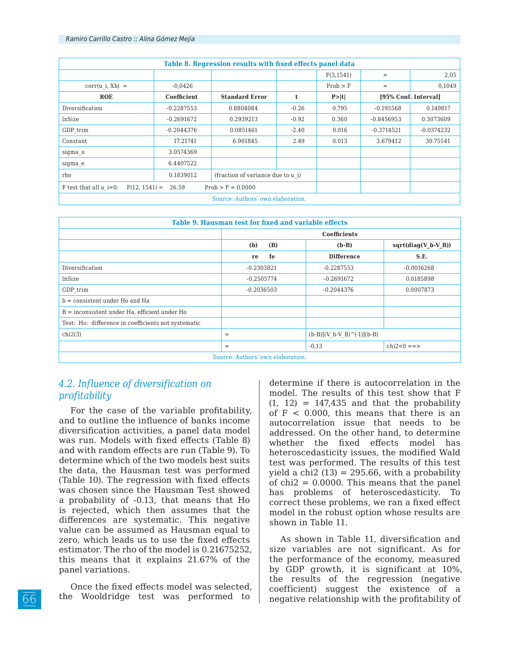| Table 8. Regression results with fixed effects panel data |              |                                   |         |            |              |                      |  |
|-----------------------------------------------------------|--------------|-----------------------------------|---------|------------|--------------|----------------------|--|
|                                                           |              |                                   |         | F(3, 1541) | $=$          | 2,05                 |  |
| $corr(u i, Xb) =$                                         | $-0.0426$    |                                   |         | Prob > F   | $=$          | 0,1049               |  |
| <b>ROE</b>                                                | Coefficient  | <b>Standard Error</b>             | t       | P> t       |              | [95% Conf. Interval] |  |
| Diversification                                           | $-0.2287553$ | 0.8804084                         | $-0.26$ | 0.795      | $-0.195568$  | 0.149817             |  |
| lnSize                                                    | $-0.2691672$ | 0.2939213                         | $-0.92$ | 0.360      | $-0.8456953$ | 0.3073609            |  |
| GDP trim                                                  | $-0.2044376$ | 0.0851461                         | $-2.40$ | 0.016      | $-0.3714521$ | $-0.0374232$         |  |
| Constant                                                  | 17.21741     | 6.901845                          | 2.49    | 0.013      | 3.679412     | 30.75541             |  |
| sigma u                                                   | 3.0574369    |                                   |         |            |              |                      |  |
| sigma e                                                   | 6.4407522    |                                   |         |            |              |                      |  |
| rho                                                       | 0.1839012    | (fraction of variance due to u i) |         |            |              |                      |  |
| $F$ test that all $u$ i=0:<br>$F(12, 1541) =$             | 26.59        | $Prob > F = 0.0000$               |         |            |              |                      |  |
| Source: Authors' own elaboration.                         |              |                                   |         |            |              |                      |  |

| Table 9. Hausman test for fixed and variable effects |                     |     |                              |                       |  |  |
|------------------------------------------------------|---------------------|-----|------------------------------|-----------------------|--|--|
|                                                      | <b>Coefficients</b> |     |                              |                       |  |  |
|                                                      | (b)                 | (B) | $(b-B)$                      | $sqrt(diag(V b-V B))$ |  |  |
|                                                      | re                  | fe  | <b>Difference</b>            | S.E.                  |  |  |
| Diversification                                      | $-0.2303821$        |     | $-0.2287553$                 | $-0.0016268$          |  |  |
| <b>lnSize</b>                                        | $-0.2505774$        |     | $-0.2691672$                 | 0.0185898             |  |  |
| GDP trim                                             | $-0.2036503$        |     | $-0.2044376$                 | 0.0007873             |  |  |
| $b =$ consistent under Ho and Ha                     |                     |     |                              |                       |  |  |
| B = inconsistent under Ha, efficient under Ho        |                     |     |                              |                       |  |  |
| Test: Ho: difference in coefficients not systematic  |                     |     |                              |                       |  |  |
| chi2(3)                                              | $=$                 |     | $(b-B)[(V b-V B)^(-1)](b-B)$ |                       |  |  |
|                                                      | $=$                 |     | $-0.13$                      | $chi2 < 0 ==$         |  |  |
| Source: Authors' own elaboration.                    |                     |     |                              |                       |  |  |

# *4.2. Influence of diversification on profitability*

For the case of the variable profitability, and to outline the influence of banks income diversification activities, a panel data model was run. Models with fixed effects (Table 8) and with random effects are run (Table 9). To determine which of the two models best suits the data, the Hausman test was performed (Table 10). The regression with fixed effects was chosen since the Hausman Test showed a probability of -0.13, that means that Ho is rejected, which then assumes that the differences are systematic. This negative value can be assumed as Hausman equal to zero, which leads us to use the fixed effects estimator. The rho of the model is 0.21675252, this means that it explains 21.67% of the panel variations.

Once the fixed effects model was selected, the Wooldridge test was performed to

determine if there is autocorrelation in the model. The results of this test show that F  $(1, 12) = 147,435$  and that the probability of F < 0.000, this means that there is an autocorrelation issue that needs to be addressed. On the other hand, to determine whether the fixed effects model has heteroscedasticity issues, the modified Wald test was performed. The results of this test yield a chi2  $(13) = 295.66$ , with a probability of  $chi2 = 0.0000$ . This means that the panel has problems of heteroscedasticity. To correct these problems, we ran a fixed effect model in the robust option whose results are shown in Table 11.

As shown in Table 11, diversification and size variables are not significant. As for the performance of the economy, measured by GDP growth, it is significant at 10%, the results of the regression (negative coefficient) suggest the existence of a negative relationship with the profitability of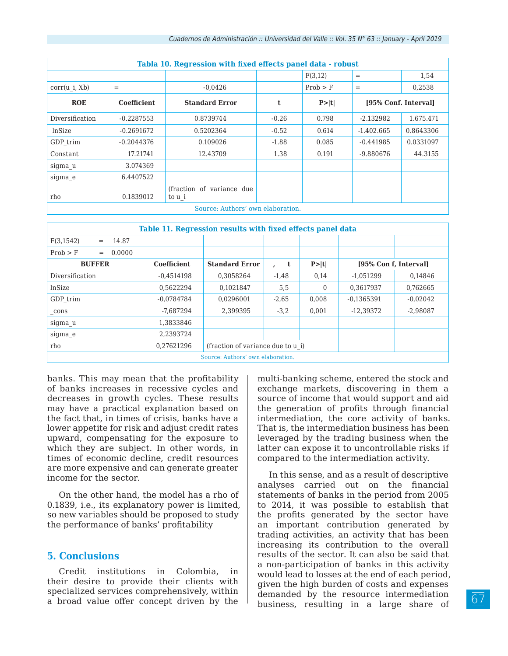| Tabla 10. Regression with fixed effects panel data - robust |                    |                                      |         |          |                      |           |  |  |
|-------------------------------------------------------------|--------------------|--------------------------------------|---------|----------|----------------------|-----------|--|--|
|                                                             |                    |                                      |         | F(3,12)  | $=$                  | 1,54      |  |  |
| corr(u i, Xb)                                               | $=$                | $-0.0426$                            |         | Prob > F | $=$                  | 0,2538    |  |  |
| <b>ROE</b>                                                  | <b>Coefficient</b> | <b>Standard Error</b>                | t       | P> t     | [95% Conf. Interval] |           |  |  |
| Diversification                                             | $-0.2287553$       | 0.8739744                            | $-0.26$ | 0.798    | $-2.132982$          | 1.675.471 |  |  |
| lnSize                                                      | $-0.2691672$       | 0.5202364                            | $-0.52$ | 0.614    | $-1.402.665$         | 0.8643306 |  |  |
| GDP trim                                                    | $-0.2044376$       | 0.109026                             | $-1.88$ | 0.085    | $-0.441985$          | 0.0331097 |  |  |
| Constant                                                    | 17.21741           | 12.43709                             | 1.38    | 0.191    | $-9.880676$          | 44.3155   |  |  |
| sigma u                                                     | 3.074369           |                                      |         |          |                      |           |  |  |
| sigma_e                                                     | 6.4407522          |                                      |         |          |                      |           |  |  |
| rho                                                         | 0.1839012          | (fraction of variance due)<br>to u i |         |          |                      |           |  |  |
| Source: Authors' own elaboration.                           |                    |                                      |         |          |                      |           |  |  |

| Table 11. Regression results with fixed effects panel data |                    |                                   |                              |          |                       |            |  |  |
|------------------------------------------------------------|--------------------|-----------------------------------|------------------------------|----------|-----------------------|------------|--|--|
| F(3, 1542)<br>14.87<br>$=$                                 |                    |                                   |                              |          |                       |            |  |  |
| Prob > F<br>0.0000<br>$=$                                  |                    |                                   |                              |          |                       |            |  |  |
| <b>BUFFER</b>                                              | <b>Coefficient</b> | <b>Standard Error</b>             | $\mathbf{t}$<br>$\mathbf{r}$ | P> t     | [95% Con f, Interval] |            |  |  |
| Diversification                                            | $-0.4514198$       | 0.3058264                         | $-1,48$                      | 0,14     | $-1.051299$           | 0.14846    |  |  |
| lnSize                                                     | 0.5622294          | 0.1021847                         | 5,5                          | $\Omega$ | 0.3617937             | 0.762665   |  |  |
| GDP trim                                                   | $-0.0784784$       | 0.0296001                         | $-2,65$                      | 0.008    | $-0.1365391$          | $-0.02042$ |  |  |
| cons                                                       | $-7.687294$        | 2.399395                          | $-3,2$                       | 0.001    | $-12.39372$           | $-2,98087$ |  |  |
| sigma u                                                    | 1.3833846          |                                   |                              |          |                       |            |  |  |
| sigma_e                                                    | 2.2393724          |                                   |                              |          |                       |            |  |  |
| rho                                                        | 0.27621296         | (fraction of variance due to u i) |                              |          |                       |            |  |  |
| Source: Authors' own elaboration.                          |                    |                                   |                              |          |                       |            |  |  |

banks. This may mean that the profitability of banks increases in recessive cycles and decreases in growth cycles. These results may have a practical explanation based on the fact that, in times of crisis, banks have a lower appetite for risk and adjust credit rates upward, compensating for the exposure to which they are subject. In other words, in times of economic decline, credit resources are more expensive and can generate greater income for the sector.

On the other hand, the model has a rho of 0.1839, i.e., its explanatory power is limited, so new variables should be proposed to study the performance of banks' profitability

### **5. Conclusions**

Credit institutions in Colombia, in their desire to provide their clients with specialized services comprehensively, within a broad value offer concept driven by the

multi-banking scheme, entered the stock and exchange markets, discovering in them a source of income that would support and aid the generation of profits through financial intermediation, the core activity of banks. That is, the intermediation business has been leveraged by the trading business when the latter can expose it to uncontrollable risks if compared to the intermediation activity.

In this sense, and as a result of descriptive analyses carried out on the financial statements of banks in the period from 2005 to 2014, it was possible to establish that the profits generated by the sector have an important contribution generated by trading activities, an activity that has been increasing its contribution to the overall results of the sector. It can also be said that a non-participation of banks in this activity would lead to losses at the end of each period, given the high burden of costs and expenses demanded by the resource intermediation business, resulting in a large share of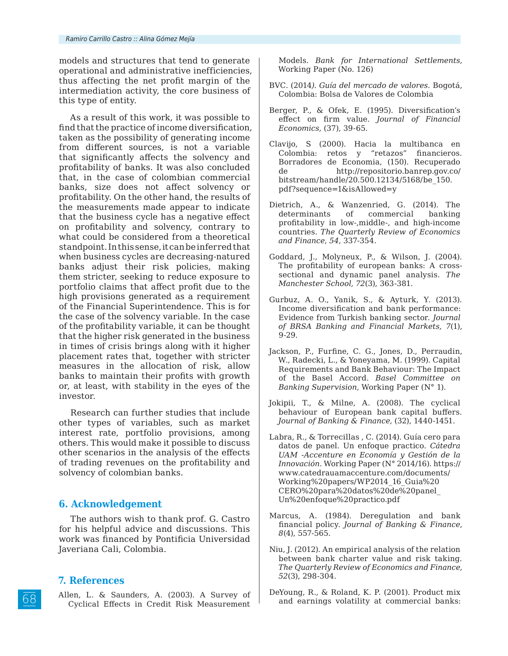models and structures that tend to generate operational and administrative inefficiencies, thus affecting the net profit margin of the intermediation activity, the core business of this type of entity.

As a result of this work, it was possible to find that the practice of income diversification, taken as the possibility of generating income from different sources, is not a variable that significantly affects the solvency and profitability of banks. It was also concluded that, in the case of colombian commercial banks, size does not affect solvency or profitability. On the other hand, the results of the measurements made appear to indicate that the business cycle has a negative effect on profitability and solvency, contrary to what could be considered from a theoretical standpoint. In this sense, it can be inferred that when business cycles are decreasing-natured banks adjust their risk policies, making them stricter, seeking to reduce exposure to portfolio claims that affect profit due to the high provisions generated as a requirement of the Financial Superintendence. This is for the case of the solvency variable. In the case of the profitability variable, it can be thought that the higher risk generated in the business in times of crisis brings along with it higher placement rates that, together with stricter measures in the allocation of risk, allow banks to maintain their profits with growth or, at least, with stability in the eyes of the investor.

Research can further studies that include other types of variables, such as market interest rate, portfolio provisions, among others. This would make it possible to discuss other scenarios in the analysis of the effects of trading revenues on the profitability and solvency of colombian banks.

### **6. Acknowledgement**

The authors wish to thank prof. G. Castro for his helpful advice and discussions. This work was financed by Pontificia Universidad Javeriana Cali, Colombia.

### **7. References**

Allen, L. & Saunders, A. (2003). A Survey of Cyclical Effects in Credit Risk Measurement

Models. *Bank for International Settlements,*  Working Paper (No. 126)

- BVC. (2014*). Guía del mercado de valores*. Bogotá, Colombia: Bolsa de Valores de Colombia
- Berger, P., & Ofek, E. (1995). Diversification's effect on firm value. *Journal of Financial Economics,* (37), 39-65.
- Clavijo, S (2000). Hacia la multibanca en Colombia: retos y "retazos" financieros. Borradores de Economia, (150). Recuperado de http://repositorio.banrep.gov.co/ bitstream/handle/20.500.12134/5168/be\_150. pdf?sequence=1&isAllowed=y
- Dietrich, A., & Wanzenried, G. (2014). The determinants of commercial banking profitability in low-,middle-, and high-income countries. *The Quarterly Review of Economics and Finance*, *54,* 337-354.
- Goddard, J., Molyneux, P., & Wilson, J. (2004). The profitability of european banks: A crosssectional and dynamic panel analysis. *The Manchester School, 72*(3), 363-381.
- Gurbuz, A. O., Yanik, S., & Ayturk, Y. (2013). Income diversification and bank performance: Evidence from Turkish banking sector. *Journal of BRSA Banking and Financial Markets, 7*(1), 9-29.
- Jackson, P., Furfine, C. G., Jones, D., Perraudin, W., Radecki, L., & Yoneyama, M. (1999). Capital Requirements and Bank Behaviour: The Impact of the Basel Accord. *Basel Committee on Banking Supervision*, Working Paper (N° 1).
- Jokipii, T., & Milne, A. (2008). The cyclical behaviour of European bank capital buffers. *Journal of Banking & Finance,* (32), 1440-1451.
- Labra, R., & Torrecillas , C. (2014). Guía cero para datos de panel. Un enfoque practico. *Cátedra UAM -Accenture en Economía y Gestión de la Innovación*. Working Paper (N° 2014/16). https:// www.catedrauamaccenture.com/documents/ Working%20papers/WP2014\_16\_Guia%20 CERO%20para%20datos%20de%20panel\_ Un%20enfoque%20practico.pdf
- Marcus, A. (1984). Deregulation and bank financial policy. *Journal of Banking & Finance*, *8*(4), 557-565.
- Niu, J. (2012). An empirical analysis of the relation between bank charter value and risk taking*. The Quarterly Review of Economics and Finance, 52*(3), 298-304.
- DeYoung, R., & Roland, K. P. (2001). Product mix and earnings volatility at commercial banks: